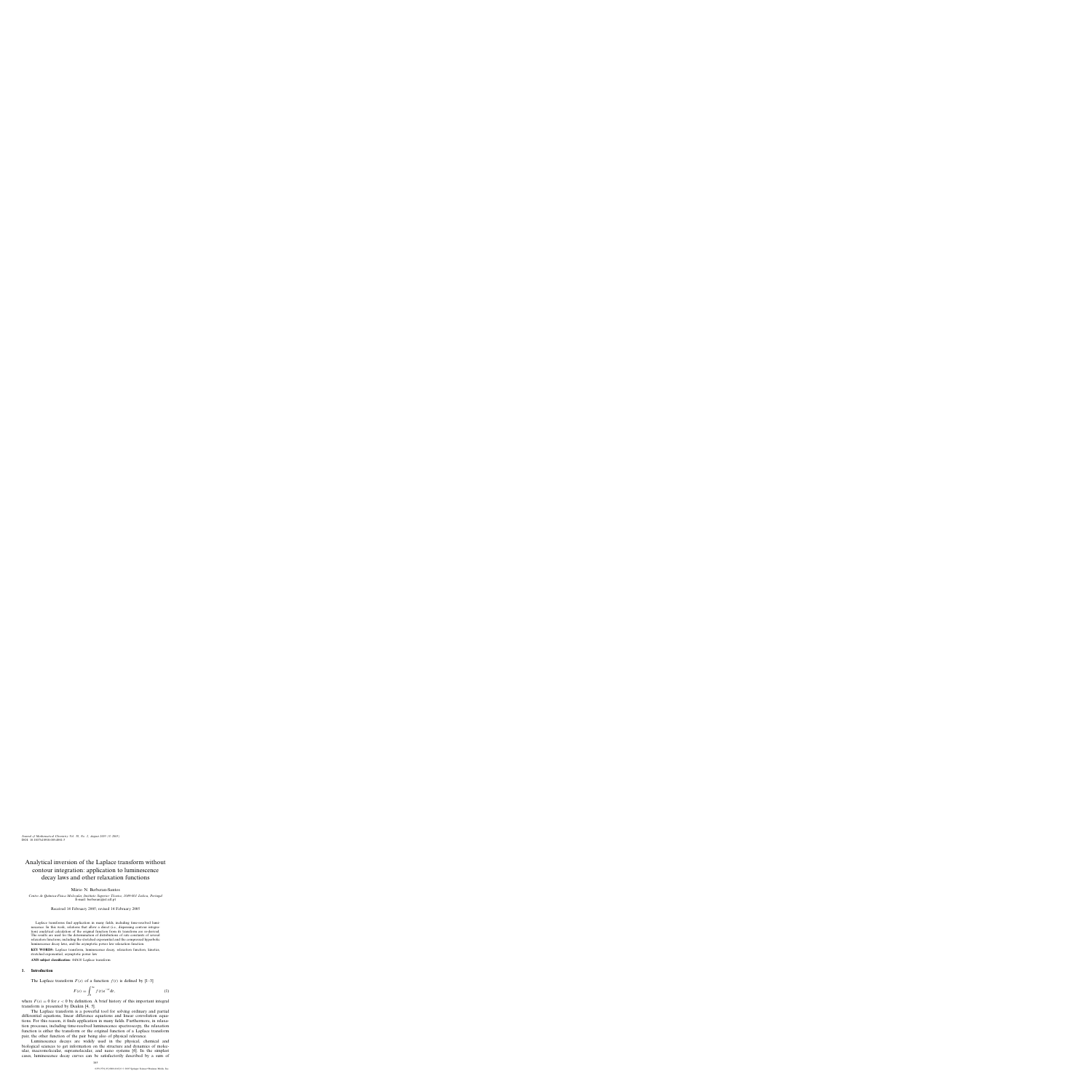# Analytical inversion of the Laplace transform without contour integration: application to luminescence decay laws and other relaxation functions

Mário N. Berberan-Santos

*Centro de Qu´ımica-F´ısica Molecular, Instituto Superior Tecnico, 1049-001 Lisboa, Portugal ´* E-mail: berberan@ist.utl.pt

Received 14 February 2005; revised 14 February 2005

Laplace transforms find application in many fields, including time-resolved luminescence. In this work, relations that allow a direct (i.e., dispensing contour integration) analytical calculation of the original function from its transform are re-derived. The results are used for the determination of distributions of rate constants of several relaxation functions, including the stretched exponential and the compressed hyperbolic luminescence decay laws, and the asymptotic power law relaxation function.

**KEY WORDS:** Laplace transform, luminescence decay, relaxation function, kinetics, stretched exponential, asymptotic power law

**AMS subject classification:** 44A10 Laplace transform

#### **1. Introduction**

The Laplace transform  $F(s)$  of a function  $f(t)$  is defined by [1–3]

$$
F(s) = \int_0^\infty f(t)e^{-st}dt,
$$
\n(1)

where  $F(s) = 0$  for  $s < 0$  by definition. A brief history of this important integral transform is presented by Deakin [4, 5].

The Laplace transform is a powerful tool for solving ordinary and partial differential equations, linear difference equations and linear convolution equations. For this reason, it finds application in many fields. Furthermore, in relaxation processes, including time-resolved luminescence spectroscopy, the relaxation function is either the transform or the original function of a Laplace transform pair, the other function of the pair being also of physical relevance.

Luminescence decays are widely used in the physical, chemical and biological sciences to get information on the structure and dynamics of molecular, macromolecular, supramolecular, and nano systems [6]. In the simplest cases, luminescence decay curves can be satisfactorily described by a sum of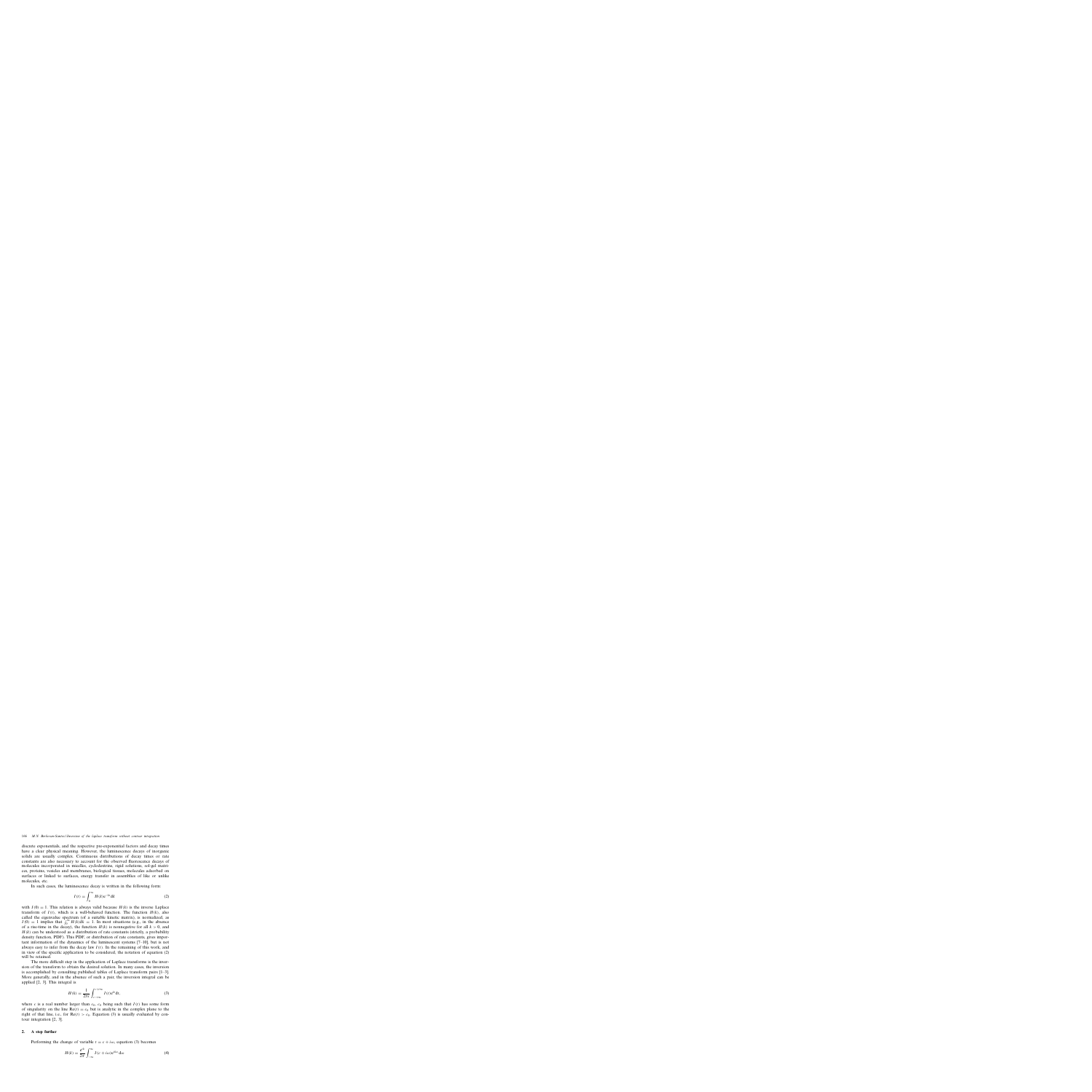discrete exponentials, and the respective pre-exponential factors and decay times have a clear physical meaning. However, the luminescence decays of inorganic solids are usually complex. Continuous distributions of decay times or rate constants are also necessary to account for the observed fluorescence decays of molecules incorporated in micelles, cyclodextrins, rigid solutions, sol-gel matrices, proteins, vesicles and membranes, biological tissues, molecules adsorbed on surfaces or linked to surfaces, energy transfer in assemblies of like or unlike molecules, etc.

In such cases, the luminescence decay is written in the following form:

$$
I(t) = \int_0^\infty H(k)e^{-kt}dk
$$
 (2)

with  $I(0) = 1$ . This relation is always valid because  $H(k)$  is the inverse Laplace transform of  $I(t)$ , which is a well-behaved function. The function  $H(k)$ , also called the eigenvalue spectrum (of a suitable kinetic matrix), is normalized, as  $I(0) = 1$  implies that  $\int_0^\infty H(k)dk = 1$ . In most situations (e.g., in the absence of a rise-time in the decay), the function  $H(k)$  is nonnegative for all  $k > 0$ , and  $H(k)$  can be understood as a distribution of rate constants (strictly, a probability density function, PDF). This PDF, or distribution of rate constants, gives important information of the dynamics of the luminescent systems [7–10], but is not always easy to infer from the decay law  $I(t)$ . In the remaining of this work, and in view of the specific application to be considered, the notation of equation (2) will be retained.

The more difficult step in the application of Laplace transforms is the inversion of the transform to obtain the desired solution. In many cases, the inversion is accomplished by consulting published tables of Laplace transform pairs [1–3]. More generally, and in the absence of such a pair, the inversion integral can be applied [2, 3]. This integral is

$$
H(k) = \frac{1}{2\pi i} \int_{c-i\infty}^{c+i\infty} I(t) e^{kt} dt,
$$
\n(3)

where c is a real number larger than  $c_0$ ,  $c_0$  being such that  $I(t)$  has some form of singularity on the line  $Re(t) = c_0$  but is analytic in the complex plane to the right of that line, i.e., for  $Re(t) > c_0$ . Equation (3) is usually evaluated by contour integration [2, 3].

#### **2. A step further**

Performing the change of variable  $t = c + i\omega$ , equation (3) becomes

$$
H(k) = \frac{e^{ck}}{2\pi} \int_{-\infty}^{\infty} I(c + i\omega) e^{ik\omega} d\omega
$$
 (4)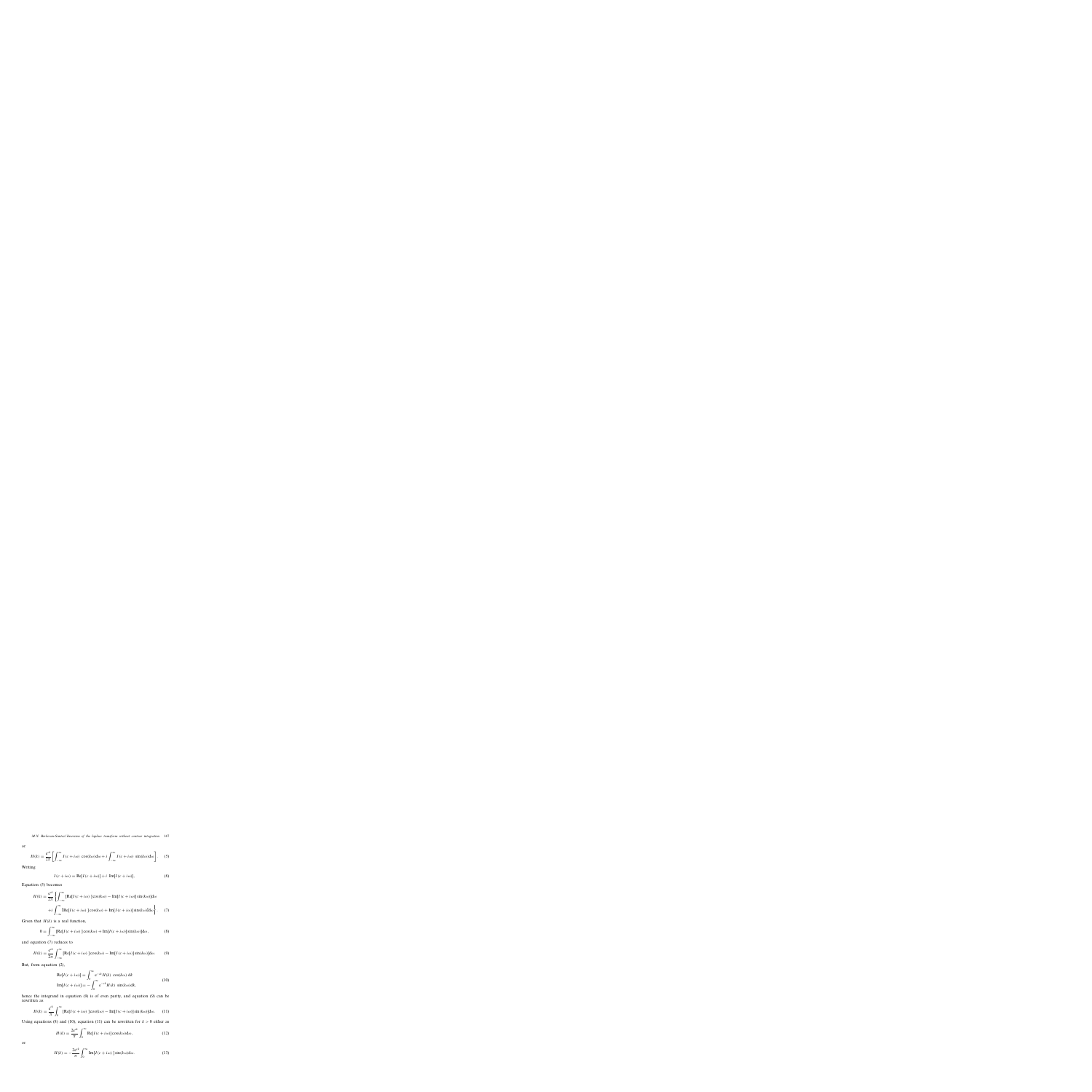or

$$
H(k) = \frac{e^{ck}}{2\pi} \left[ \int_{-\infty}^{\infty} I(c + i\omega) \cos(k\omega) d\omega + i \int_{-\infty}^{\infty} I(c + i\omega) \sin(k\omega) d\omega \right].
$$
 (5)

Writing

$$
I(c + i\omega) = \text{Re}[I(c + i\omega)] + i \text{ Im}[I(c + i\omega)], \tag{6}
$$

Equation (5) becomes

$$
H(k) = \frac{e^{ck}}{2\pi} \left\{ \int_{-\infty}^{\infty} \left[ \text{Re}[I(c+i\omega)]\cos(k\omega) - \text{Im}[I(c+i\omega)]\sin(k\omega) \right] d\omega \right\}
$$

$$
+ i \int_{-\infty}^{\infty} \left[ \text{Re}[I(c+i\omega)]\cos(k\omega) + \text{Im}[I(c+i\omega)]\sin(k\omega) \right] d\omega \right\}. \tag{7}
$$

Given that  $H(k)$  is a real function,

$$
0 = \int_{-\infty}^{\infty} \left[ \text{Re}[I(c + i\omega)] \cos(k\omega) + \text{Im}[I(c + i\omega)] \sin(k\omega) \right] d\omega, \tag{8}
$$

and equation (7) reduces to

$$
H(k) = \frac{e^{ck}}{2\pi} \int_{-\infty}^{\infty} \left[ \text{Re}[I(c + i\omega)] \cos(k\omega) - \text{Im}[I(c + i\omega)] \sin(k\omega) \right] d\omega. \tag{9}
$$

But, from equation (2),

$$
\text{Re}[I(c+i\omega)] = \int_0^\infty e^{-ck} H(k) \cos(k\omega) \, \mathrm{d}k
$$
\n
$$
\text{Im}[I(c+i\omega)] = -\int_0^\infty e^{-ck} H(k) \, \sin(k\omega) \mathrm{d}k,\tag{10}
$$

hence the integrand in equation (9) is of even parity, and equation (9) can be rewritten as

$$
H(k) = \frac{e^{ck}}{\pi} \int_0^\infty \left[ \text{Re}[I(c + i\omega)] \cos(k\omega) - \text{Im}[I(c + i\omega)] \sin(k\omega) \right] d\omega. \tag{11}
$$

Using equations (8) and (10), equation (11) can be rewritten for  $k > 0$  either as

$$
H(k) = \frac{2e^{ck}}{\pi} \int_0^\infty \text{Re}[I(c+i\omega)] \cos(k\omega) d\omega,
$$
 (12)

or

$$
H(k) = -\frac{2e^{ck}}{\pi} \int_0^\infty \text{Im}[I(c+i\omega)] \sin(k\omega) d\omega.
$$
 (13)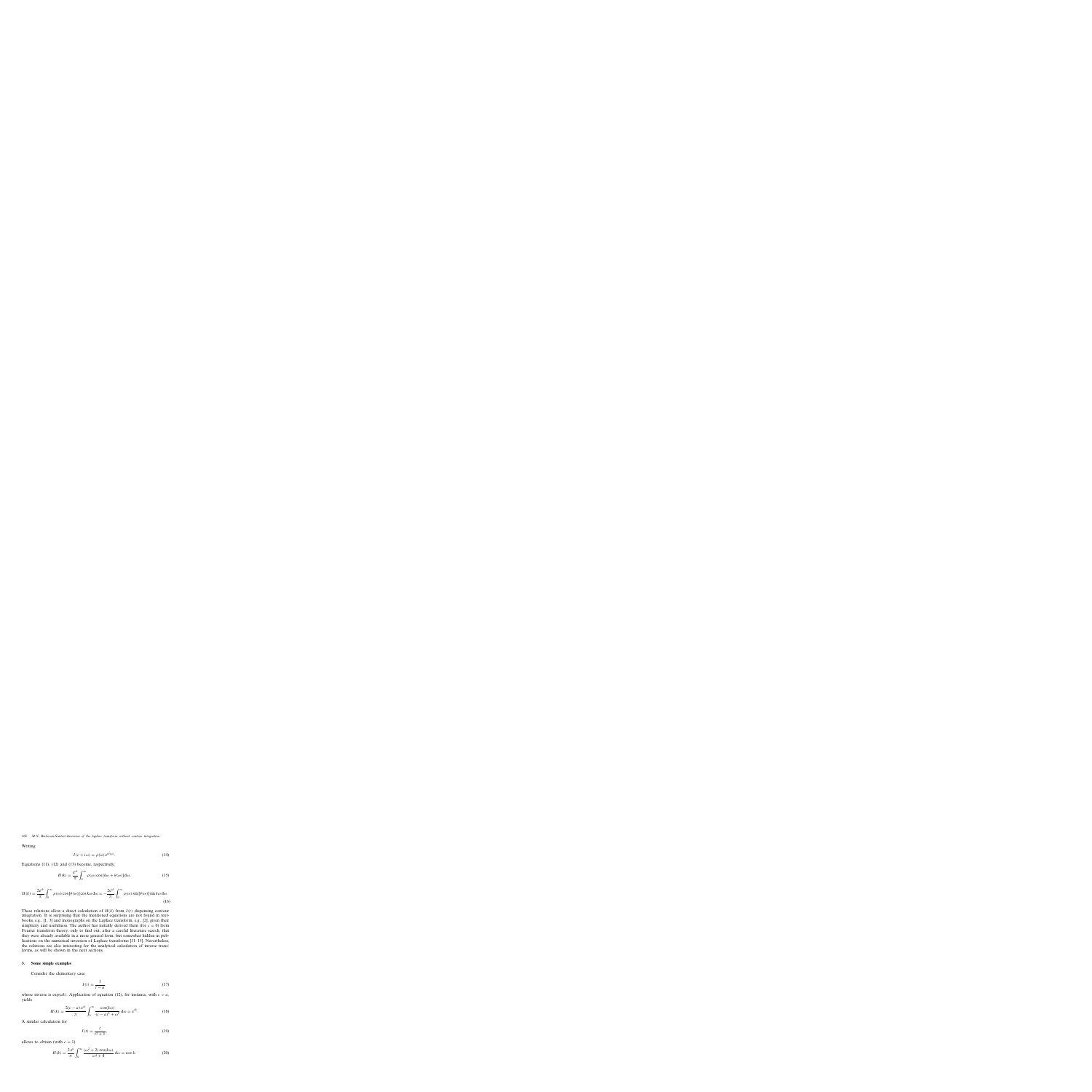Writing

$$
I(c + i\omega) = \rho(\omega) e^{i\theta(\omega)}.
$$
 (14)

Equations (11), (12) and (13) become, respectively,

$$
H(k) = \frac{e^{ck}}{\pi} \int_0^\infty \rho(\omega) \cos[k\omega + \theta(\omega)] d\omega,
$$
 (15)

$$
H(k) = \frac{2e^{ck}}{\pi} \int_0^\infty \rho(\omega) \cos[\theta(\omega)] \cos k\omega \, d\omega = -\frac{2e^{ck}}{\pi} \int_0^\infty \rho(\omega) \sin[\theta(\omega)] \sin k\omega \, d\omega.
$$
\n(16)

These relations allow a direct calculation of  $H(k)$  from  $I(t)$  dispensing contour integration. It is surprising that the mentioned equations are not found in textbooks, e.g., [1, 3] and monographs on the Laplace transform, e.g., [2], given their simplicity and usefulness. The author has initially derived them (for  $c = 0$ ) from Fourier transform theory, only to find out, after a careful literature search, that they were already available in a more general form, but somewhat hidden in publications on the numerical inversion of Laplace transforms [11–15]. Nevertheless, the relations are also interesting for the analytical calculation of inverse transforms, as will be shown in the next sections.

#### **3. Some simple examples**

Consider the elementary case

$$
I(t) = \frac{1}{t - a},\tag{17}
$$

whose inverse is  $exp(ak)$ . Application of equation (12), for instance, with  $c > a$ , yields

$$
H(k) = \frac{2(c-a)e^{ck}}{\pi} \int_0^\infty \frac{\cos(k\omega)}{(c-a)^2 + \omega^2} \, d\omega = e^{ak}.
$$
 (18)

A similar calculation for

$$
I(t) = \frac{t}{t^2 + 1},\tag{19}
$$

allows to obtain (with  $c = 1$ )

$$
H(k) = \frac{2 e^k}{\pi} \int_0^\infty \frac{(\omega^2 + 2) \cos(k\omega)}{\omega^4 + 4} d\omega = \cos k. \tag{20}
$$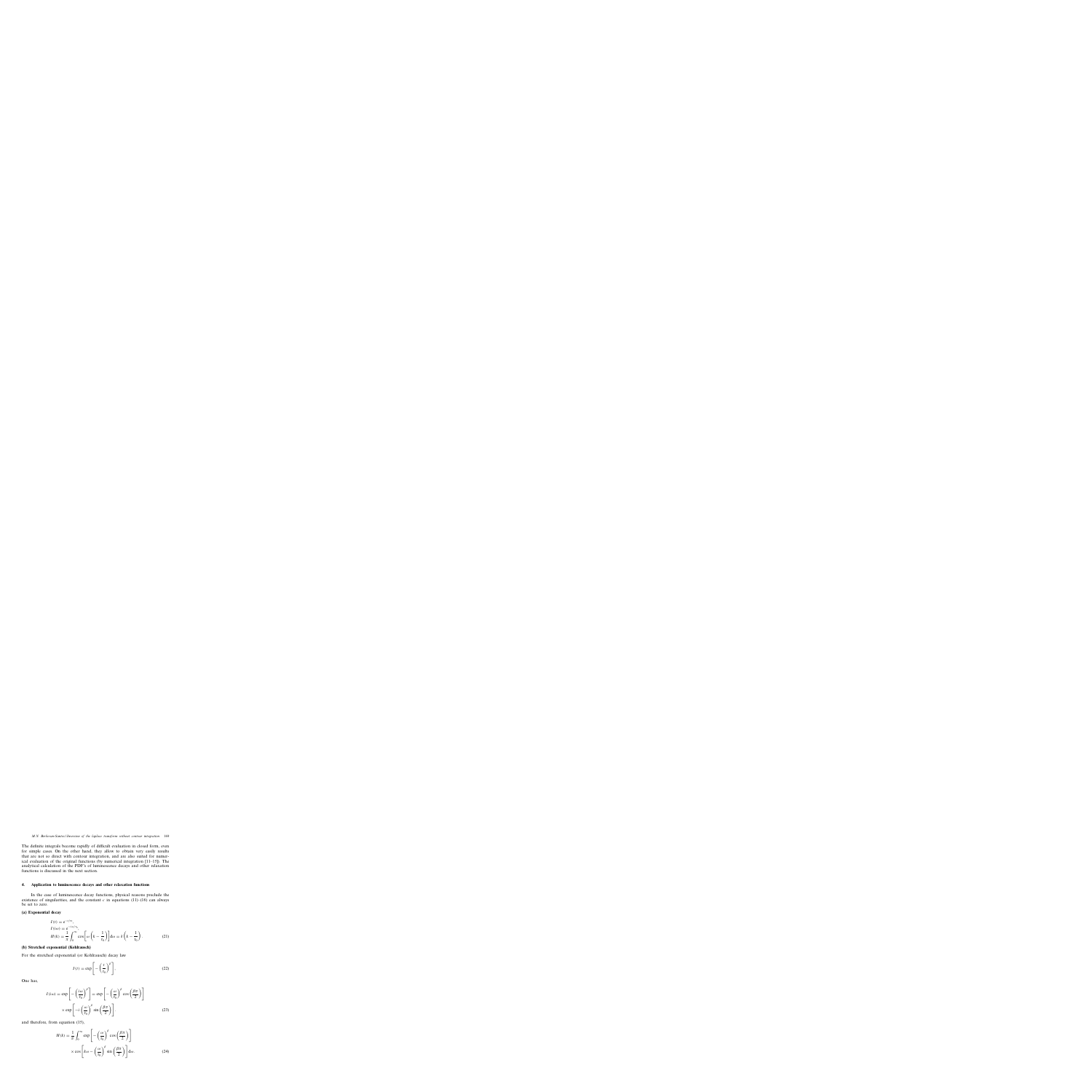The definite integrals become rapidly of difficult evaluation in closed form, even for simple cases. On the other hand, they allow to obtain very easily results that are not so direct with contour integration, and are also suited for numerical evaluation of the original functions (by numerical integration [11–15]). The analytical calculation of the PDF's of luminescence decays and other relaxation functions is discussed in the next section.

## **4. Application to luminescence decays and other relaxation functions**

In the case of luminescence decay functions, physical reasons preclude the existence of singularities, and the constant  $c$  in equations (11)–(16) can always be set to zero.

## **(a) Exponential decay**

$$
I(t) = e^{-t/\tau_0},
$$
  
\n
$$
I(i\omega) = e^{-i\omega/\tau_0},
$$
  
\n
$$
H(k) = \frac{1}{\pi} \int_0^\infty \cos\left[\omega\left(k - \frac{1}{\tau_0}\right)\right] d\omega = \delta\left(k - \frac{1}{\tau_0}\right).
$$
\n(21)

## **(b) Stretched exponential (Kohlrausch)**

For the stretched exponential (or Kohlrausch) decay law

$$
I(t) = \exp\left[-\left(\frac{t}{\tau_0}\right)^{\beta}\right],
$$
\n(22)

One has,

$$
I(i\omega) = \exp\left[-\left(\frac{i\omega}{\tau_0}\right)^{\beta}\right] = \exp\left[-\left(\frac{\omega}{\tau_0}\right)^{\beta}\cos\left(\frac{\beta\pi}{2}\right)\right]
$$

$$
\times \exp\left[-i\left(\frac{\omega}{\tau_0}\right)^{\beta}\sin\left(\frac{\beta\pi}{2}\right)\right].
$$
 (23)

and therefore, from equation (15),

$$
H(k) = \frac{1}{\pi} \int_0^\infty \exp\left[-\left(\frac{\omega}{\tau_0}\right)^\beta \cos\left(\frac{\beta \pi}{2}\right)\right]
$$

$$
\times \cos\left[k\omega - \left(\frac{\omega}{\tau_0}\right)^\beta \sin\left(\frac{\beta \pi}{2}\right)\right] d\omega.
$$
 (24)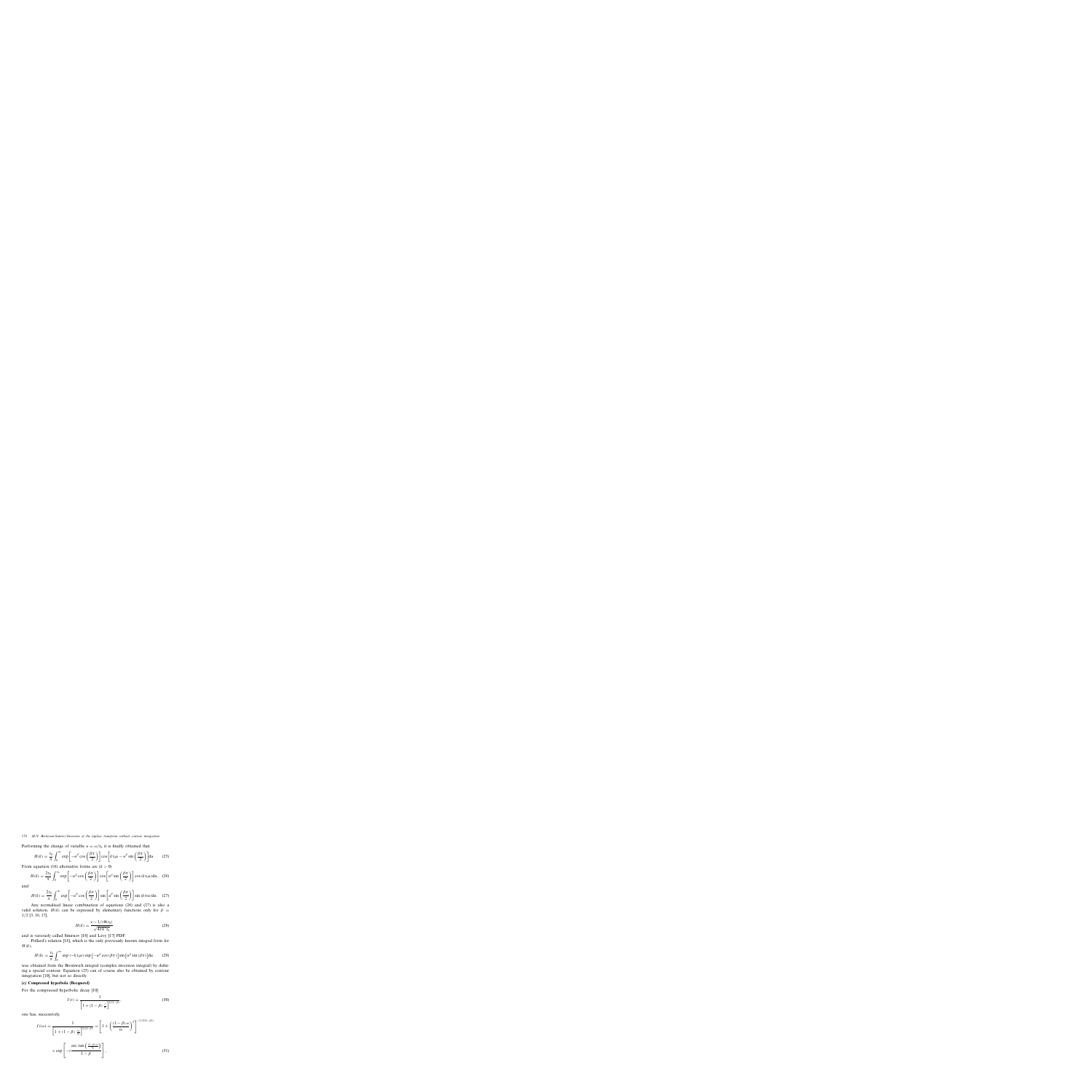Performing the change of variable  $u = \omega/\tau_0$  it is finally obtained that

$$
H(k) = \frac{\tau_0}{\pi} \int_0^\infty \exp\left[-u^\beta \cos\left(\frac{\beta \pi}{2}\right)\right] \cos\left[k\tau_0 u - u^\beta \sin\left(\frac{\beta \pi}{2}\right)\right] du. \tag{25}
$$

From equation (16) alternative forms are  $(k > 0)$ 

$$
H(k) = \frac{2\tau_0}{\pi} \int_0^\infty \exp\left[-u^\beta \cos\left(\frac{\beta \pi}{2}\right)\right] \cos\left[u^\beta \sin\left(\frac{\beta \pi}{2}\right)\right] \cos\left(k\tau_0 u\right) du,\tag{26}
$$

and

$$
H(k) = \frac{2\tau_0}{\pi} \int_0^\infty \exp\left[-u^\beta \cos\left(\frac{\beta\pi}{2}\right)\right] \sin\left[u^\beta \sin\left(\frac{\beta\pi}{2}\right)\right] \sin\left(k\tau_0 u\right) du. \quad (27)
$$

Any normalised linear combination of equations (26) and (27) is also a valid solution.  $H(k)$  can be expressed by elementary functions only for  $\beta =$ 1/2 [3, 16, 17],

$$
H(k) = \frac{e - 1/(4k\tau_0)}{\sqrt{4\pi k^3 \tau_0}}
$$
\n(28)

and is variously called Smirnov [16] and Lévy [17] PDF.

Pollard's relation [18], which is the only previously known integral form for  $H(k),$ 

$$
H(k) = \frac{\tau_0}{\pi} \int_0^\infty \exp\left(-k\,\tau_0 u\right) \exp\left[-u^\beta \cos\left(\beta \pi\right)\right] \sin\left[u^\beta \sin\left(\beta \pi\right)\right] du. \tag{29}
$$

was obtained from the Bromwich integral (complex inversion integral) by defining a special contour. Equation (25) can of course also be obtained by contour integration [10], but not so directly.

## **(c) Compressed hyperbola (Becquerel)**

For the compressed hyperbolic decay [10]

$$
I(t) = \frac{1}{\left[1 + (1 - \beta) \frac{t}{\tau_0}\right]^{1/(1 - \beta)}},\tag{30}
$$

one has, successively,

$$
I(i\omega) = \frac{1}{\left[1 + (1 - \beta) \frac{i\omega}{\tau_0}\right]^{1/(1 - \beta)}} = \left[1 + \left(\frac{(1 - \beta)\omega}{\tau_0}\right)^2\right]^{-1/(2(1 - \beta))}
$$

$$
\times \exp\left[-i\frac{\arctan\left(\frac{(1 - \beta)\omega}{\tau_0}\right)}{1 - \beta}\right],
$$
(31)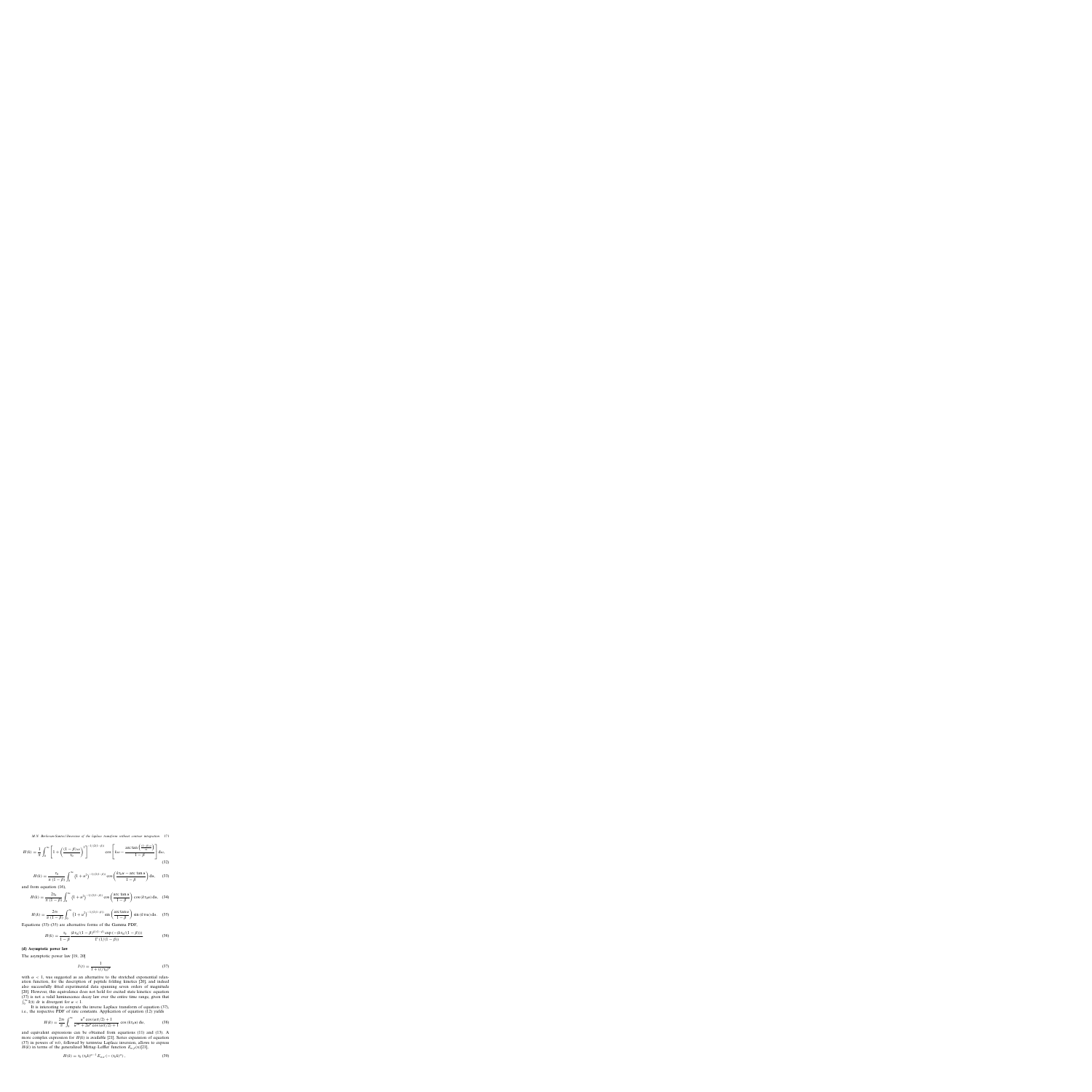$$
H(k) = \frac{1}{\pi} \int_0^\infty \left[ 1 + \left( \frac{(1-\beta)\omega}{\tau_0} \right)^2 \right]^{-1/(2(1-\beta))} \cos \left[ k\omega - \frac{\arctan\left( \frac{(1-\beta)\omega}{\tau_0} \right)}{1-\beta} \right] d\omega, \tag{32}
$$

$$
H(k) = \frac{\tau_0}{\pi (1 - \beta)} \int_0^\infty (1 + u^2)^{-1/(2(1 - \beta))} \cos \left( \frac{k \tau_0 u - \arctan u}{1 - \beta} \right) du,\tag{33}
$$

and from equation (16),

$$
H(k) = \frac{2\tau_0}{\pi (1 - \beta)} \int_0^\infty (1 + u^2)^{-1/(2(1 - \beta))} \cos\left(\frac{\arctan u}{1 - \beta}\right) \cos\left(k\tau_0 u\right) du, \tag{34}
$$

$$
H(k) = \frac{2\tau_0}{\pi (1 - \beta)} \int_0^\infty (1 + u^2)^{-1/(2(1 - \beta))} \sin\left(\frac{\arctan u}{1 - \beta}\right) \sin(k\tau_0 u) du. \quad (35)
$$

Equations (33)–(35) are alternative forms of the Gamma PDF,

$$
H(k) = \frac{\tau_0}{1 - \beta} \frac{(k\tau_0/(1 - \beta)^{\beta/(1 - \beta)} \exp(-(k\tau_0/(1 - \beta)))}{\Gamma(1/(1 - \beta))}.
$$
 (36)

#### **(d) Asymptotic power law**

The asymptotic power law [19, 20]

$$
I(t) = \frac{1}{1 + (t/\tau_0)^{\alpha}}
$$
 (37)

with  $\alpha$  < 1, was suggested as an alternative to the stretched exponential relaxation function, for the description of peptide folding kinetics [20], and indeed also successfully fitted experimental data spanning seven orders of magnitude [20]. However, this equivalence does not hold for excited state kinetics: equation (37) is not a valid luminescence decay law over the entire time range, given that  $\int_0^\infty I(t) dt$  is divergent for  $\alpha < 1$ .

It is interesting to compute the inverse Laplace transform of equation (37), i.e., the respective PDF of rate constants. Application of equation (12) yields

$$
H(k) = \frac{2\tau_0}{\pi} \int_0^\infty \frac{u^{\alpha} \cos(\alpha \pi/2) + 1}{u^{2\alpha} + 2u^{\alpha} \cos(\alpha \pi/2) + 1} \cos(k\tau_0 u) du,
$$
 (38)

and equivalent expressions can be obtained from equations (11) and (13). A more complex expression for  $H(k)$  is available [21]. Series expansion of equation (37) in powers of  $\tau_0/t$ , followed by termwise Laplace inversion, allows to express  $H(k)$  in terms of the generalized Mittag–Leffler function  $E_{\alpha,\beta}(x)[21]$ ,

$$
H(k) = \tau_0 \left( \tau_0 k \right)^{\alpha - 1} E_{\alpha, \alpha} \left( - \left( \tau_0 k \right)^{\alpha} \right), \tag{39}
$$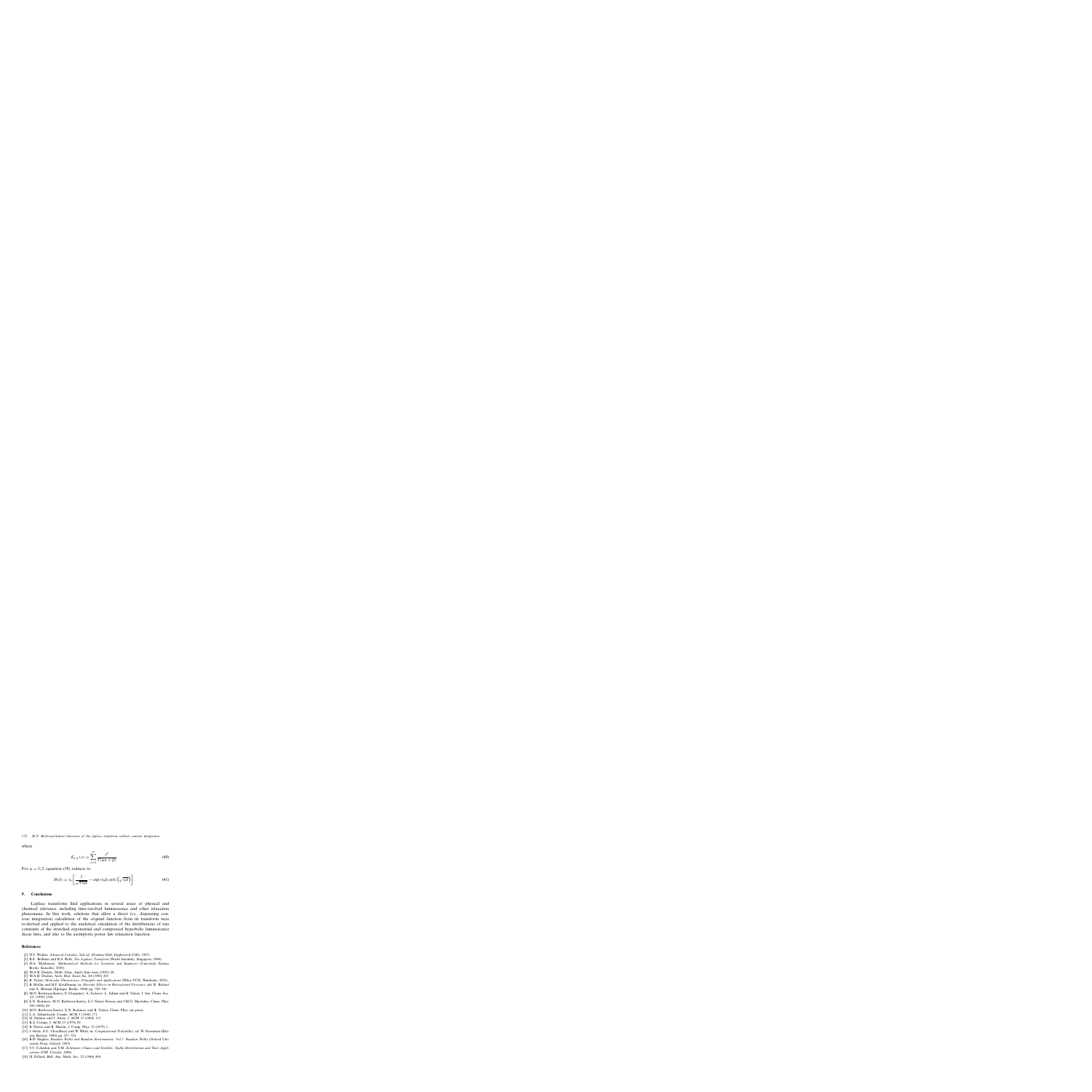where

$$
E_{\alpha,\beta}(x) = \sum_{n=0}^{\infty} \frac{x^n}{\Gamma(\alpha n + \beta)}.
$$
\n(40)

For  $\alpha = 1/2$  equation (38) reduces to

$$
H(k) = \tau_0 \left[ \frac{1}{\sqrt{\pi \tau_0 k}} - \exp\left(\tau_0 k\right) \text{erfc}\left(\sqrt{\tau_0 k}\right) \right]. \tag{41}
$$

## **5. Conclusions**

Laplace transforms find applications in several areas of physical and chemical relevance, including time-resolved luminescence and other relaxation phenomena. In this work, relations that allow a direct (i.e., dispensing contour integration) calculation of the original function from its transform were re-derived and applied to the analytical calculation of the distributions of rate constants of the stretched exponential and compressed hyperbolic luminescence decay laws, and also to the asymptotic power law relaxation function.

## **References**

- [1] D.V. Widder, *Advanced Calculus*, 2nd ed. (Prentice-Hall, Englewood Cliffs, 1947).
- [2] R.E. Bellman and R.S. Roth, *The Laplace Transform* (World Scientific, Singapore, 1984).
- [3] D.A. McQuarrie, *Mathematical Methods for Scientists and Engineers* (University Science Books, Sausalito, 2003).
- [4] M.A.B. Deakin, Math. Educ. April–June issue (1985) 24.
- [5] M.A.B. Deakin, Arch. Hist. Exact Sci. 44 (1992) 265.
- [6] B. Valeur, *Molecular Fluorescence. Principles and Applications* (Wiley-VCH, Weinheim, 2002).
- [7] B. Mollay and H.F. Kauffmann, in: *Disorder Effects on Relaxational Processes*, eds. R. Richert and A. Blumen (Springer, Berlin, 1994) pp. 509–541.
- [8] M.N. Berberan-Santos, P. Choppinet, A. Fedorov, L. Jullien and B. Valeur, J. Am. Chem. Soc. 121 (1999) 2526.
- [9] E.N. Bodunov, M.N. Berberan-Santos, E.J. Nunes Pereira and J.M.G. Martinho, Chem. Phys. 259 (2000) 49.
- [10] M.N. Berberan-Santos, E.N. Bodunov and B. Valeur, Chem. Phys. (in press).
- [11] L.A. Schmittroth, Comm. ACM 3 (1960) 171.
- [12] H. Dubner and J. Abate, J. ACM 15 (1968) 115.
- [13] K.S. Crump, J. ACM 23 (1976) 89.
- [14] B. Davies and B. Martin, J. Comp. Phys. 33 (1979) 1.
- [15] J. Abate, G.L. Choudhury and W. Whitt, in: *Computational Probability*, ed. W. Grassman (Kluwer, Boston, 1999) pp. 257–323.
- [16] B.D. Hughes, *Random Walks and Random Environments. Vol.1: Random Walks* (Oxford University Press, Oxford, 1995).
- [17] V.V. Uchaikin and V.M. Zolotarev, *Chance and Stability. Stable Distributions and Their Applications* (VSP, Utrecht, 1999).
- [18] H. Pollard, Bull. Am. Math. Soc. 52 (1946) 908.